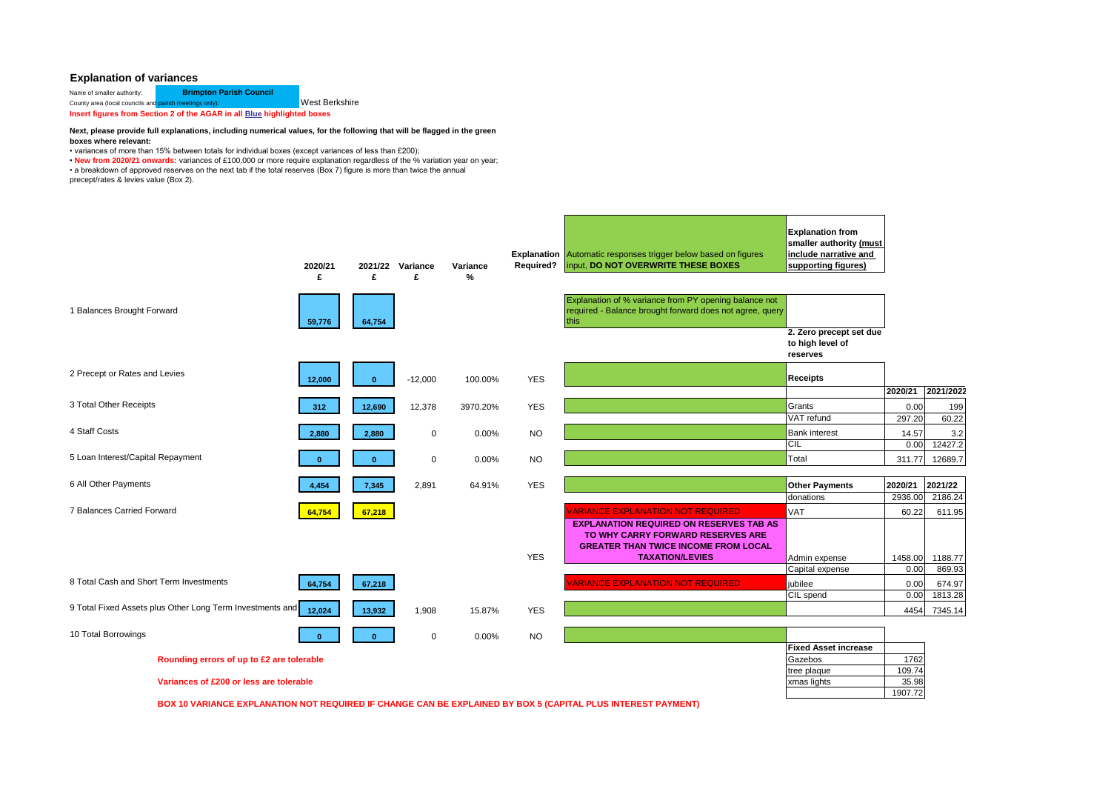## **Explanation of variances**

| Name of smaller authority:                                              | <b>Brimpton Parish Council</b> |                       |  |  |  |  |  |  |  |
|-------------------------------------------------------------------------|--------------------------------|-----------------------|--|--|--|--|--|--|--|
| County area (local councils and parish meetings only):                  |                                | <b>West Berkshire</b> |  |  |  |  |  |  |  |
| Insert figures from Section 2 of the AGAR in all Blue highlighted boxes |                                |                       |  |  |  |  |  |  |  |

## **Next, please provide full explanations, including numerical values, for the following that will be flagged in the green boxes where relevant:**

• variances of more than 15% between totals for individual boxes (except variances of less than £200);

• New from 2020/21 onwards: variances of £100,000 or more require explanation regardless of the % variation year on year;

• a breakdown of approved reserves on the next tab if the total reserves (Box 7) figure is more than twice the annual precept/rates & levies value (Box 2).

|                                                           | 2020/21<br>£ | 2021/22<br>£ | Variance<br>£ | Variance<br>$\frac{9}{6}$ | Required?      | <b>Explanation</b> Automatic responses trigger below based on figures<br>input, DO NOT OVERWRITE THESE BOXES              | <b>Explanation from</b><br>smaller authority (must<br>include narrative and<br>supporting figures) |         |           |
|-----------------------------------------------------------|--------------|--------------|---------------|---------------------------|----------------|---------------------------------------------------------------------------------------------------------------------------|----------------------------------------------------------------------------------------------------|---------|-----------|
| 1 Balances Brought Forward                                | 59,776       | 64,754       |               |                           |                | Explanation of % variance from PY opening balance not<br>required - Balance brought forward does not agree, query<br>this |                                                                                                    |         |           |
|                                                           |              |              |               |                           |                |                                                                                                                           | 2. Zero precept set due<br>to high level of<br>reserves                                            |         |           |
| 2 Precept or Rates and Levies                             | 12.000       | $\Omega$     | $-12,000$     | 100.00%                   | <b>YES</b>     |                                                                                                                           | <b>Receipts</b>                                                                                    |         |           |
|                                                           |              |              |               |                           |                |                                                                                                                           |                                                                                                    | 2020/21 | 2021/2022 |
| 3 Total Other Receipts                                    | 312          | 12,690       | 12,378        | 3970.20%                  | <b>YES</b>     |                                                                                                                           | Grants                                                                                             | 0.00    | 199       |
|                                                           |              |              |               |                           |                |                                                                                                                           | VAT refund                                                                                         | 297.20  | 60.22     |
| 4 Staff Costs                                             | 2.880        | 2,880        | $\mathbf 0$   | $0.00\%$                  | <b>NO</b>      |                                                                                                                           | <b>Bank interest</b>                                                                               | 14.57   | 3.2       |
|                                                           |              |              |               |                           |                |                                                                                                                           | CIL                                                                                                | 0.00    | 12427.2   |
| 5 Loan Interest/Capital Repayment                         |              | $\mathbf{0}$ | $\mathbf 0$   | 0.00%                     | N <sub>O</sub> |                                                                                                                           | Total                                                                                              | 311.77  | 12689.7   |
|                                                           |              |              |               |                           |                |                                                                                                                           |                                                                                                    |         |           |
| 6 All Other Payments                                      | 4,454        | 7,345        | 2,891         | 64.91%                    | <b>YES</b>     |                                                                                                                           | <b>Other Payments</b>                                                                              | 2020/21 | 2021/22   |
|                                                           |              |              |               |                           |                |                                                                                                                           | donations                                                                                          | 2936.00 | 2186.24   |
| 7 Balances Carried Forward                                | 64,754       | 67,218       |               |                           |                | <b>ARIANCE EXPLANATION NOT REQUIRED</b>                                                                                   | VAT                                                                                                | 60.22   | 611.95    |
|                                                           |              |              |               |                           |                | <b>EXPLANATION REQUIRED ON RESERVES TAB AS</b>                                                                            |                                                                                                    |         |           |
|                                                           |              |              |               |                           |                | TO WHY CARRY FORWARD RESERVES ARE<br><b>GREATER THAN TWICE INCOME FROM LOCAL</b>                                          |                                                                                                    |         |           |
|                                                           |              |              |               |                           | <b>YES</b>     | <b>TAXATION/LEVIES</b>                                                                                                    | Admin expense                                                                                      | 1458.00 | 1188.77   |
|                                                           |              |              |               |                           |                |                                                                                                                           | Capital expense                                                                                    | 0.00    | 869.93    |
| 8 Total Cash and Short Term Investments                   | 64,754       | 67,218       |               |                           |                | <b>ARIANCE EXPLANATION NOT REQUIRED</b>                                                                                   | jubilee                                                                                            | 0.00    | 674.97    |
|                                                           |              |              |               |                           |                |                                                                                                                           | CIL spend                                                                                          | 0.00    | 1813.28   |
| 9 Total Fixed Assets plus Other Long Term Investments and | 12.024       | 13,932       | 1.908         | 15.87%                    | <b>YES</b>     |                                                                                                                           |                                                                                                    | 4454    | 7345.14   |
|                                                           |              |              |               |                           |                |                                                                                                                           |                                                                                                    |         |           |
| 10 Total Borrowings                                       |              | $\mathbf{0}$ | $\mathbf 0$   | 0.00%                     | <b>NO</b>      |                                                                                                                           |                                                                                                    |         |           |
|                                                           |              |              |               |                           |                |                                                                                                                           | <b>Fixed Asset increase</b>                                                                        |         |           |
| Rounding errors of up to £2 are tolerable                 |              |              |               | Gazebos                   | 1762           |                                                                                                                           |                                                                                                    |         |           |
|                                                           |              |              |               |                           | tree plaque    | 109.74                                                                                                                    |                                                                                                    |         |           |
| Variances of £200 or less are tolerable                   |              |              |               |                           |                |                                                                                                                           | xmas lights                                                                                        | 35.98   |           |
|                                                           |              |              |               |                           |                |                                                                                                                           |                                                                                                    | 1907.72 |           |

**BOX 10 VARIANCE EXPLANATION NOT REQUIRED IF CHANGE CAN BE EXPLAINED BY BOX 5 (CAPITAL PLUS INTEREST PAYMENT)**